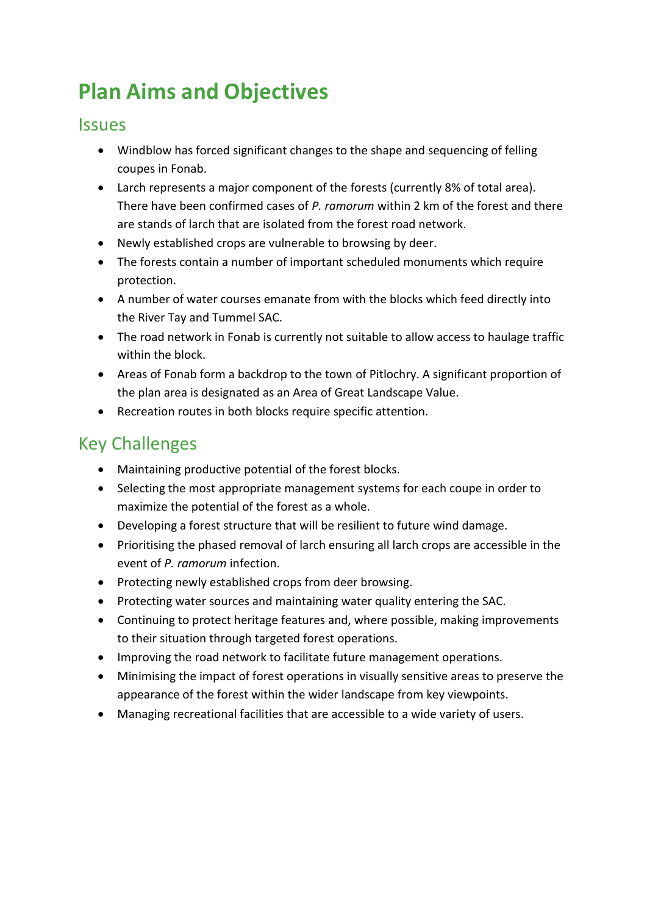# **Plan Aims and Objectives**

### Issues

- Windblow has forced significant changes to the shape and sequencing of felling coupes in Fonab.
- Larch represents a major component of the forests (currently 8% of total area). There have been confirmed cases of *P. ramorum* within 2 km of the forest and there are stands of larch that are isolated from the forest road network.
- Newly established crops are vulnerable to browsing by deer.
- The forests contain a number of important scheduled monuments which require protection.
- A number of water courses emanate from with the blocks which feed directly into the River Tay and Tummel SAC.
- The road network in Fonab is currently not suitable to allow access to haulage traffic within the block.
- Areas of Fonab form a backdrop to the town of Pitlochry. A significant proportion of the plan area is designated as an Area of Great Landscape Value.
- Recreation routes in both blocks require specific attention.

## Key Challenges

- Maintaining productive potential of the forest blocks.
- Selecting the most appropriate management systems for each coupe in order to maximize the potential of the forest as a whole.
- Developing a forest structure that will be resilient to future wind damage.
- Prioritising the phased removal of larch ensuring all larch crops are accessible in the event of *P. ramorum* infection.
- Protecting newly established crops from deer browsing.
- Protecting water sources and maintaining water quality entering the SAC.
- Continuing to protect heritage features and, where possible, making improvements to their situation through targeted forest operations.
- Improving the road network to facilitate future management operations.
- Minimising the impact of forest operations in visually sensitive areas to preserve the appearance of the forest within the wider landscape from key viewpoints.
- Managing recreational facilities that are accessible to a wide variety of users.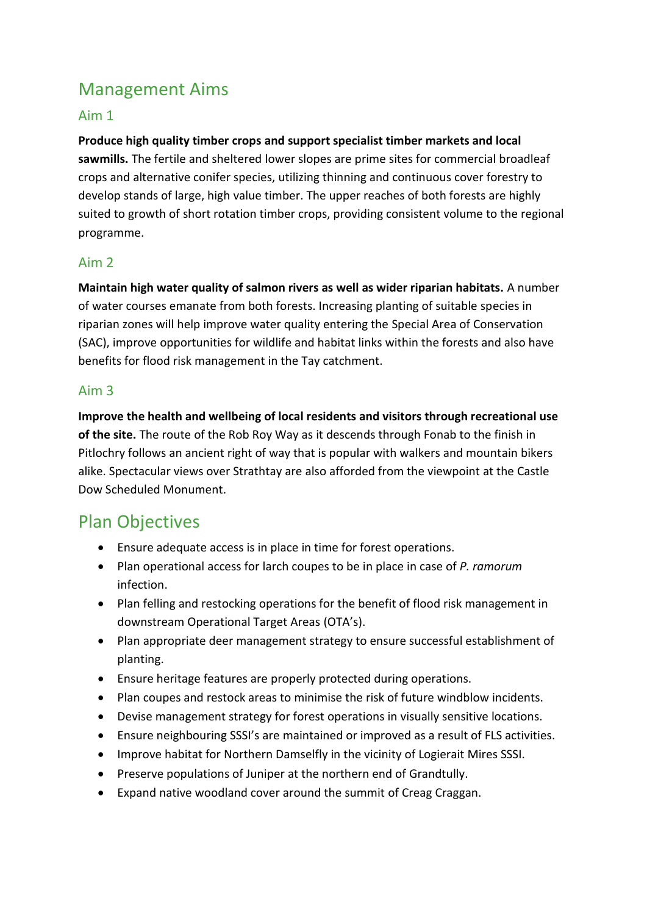## Management Aims

#### Aim 1

**Produce high quality timber crops and support specialist timber markets and local sawmills.** The fertile and sheltered lower slopes are prime sites for commercial broadleaf crops and alternative conifer species, utilizing thinning and continuous cover forestry to develop stands of large, high value timber. The upper reaches of both forests are highly suited to growth of short rotation timber crops, providing consistent volume to the regional programme.

#### Aim 2

**Maintain high water quality of salmon rivers as well as wider riparian habitats.** A number of water courses emanate from both forests. Increasing planting of suitable species in riparian zones will help improve water quality entering the Special Area of Conservation (SAC), improve opportunities for wildlife and habitat links within the forests and also have benefits for flood risk management in the Tay catchment.

#### Aim 3

**Improve the health and wellbeing of local residents and visitors through recreational use of the site.** The route of the Rob Roy Way as it descends through Fonab to the finish in Pitlochry follows an ancient right of way that is popular with walkers and mountain bikers alike. Spectacular views over Strathtay are also afforded from the viewpoint at the Castle Dow Scheduled Monument.

### Plan Objectives

- Ensure adequate access is in place in time for forest operations.
- Plan operational access for larch coupes to be in place in case of *P. ramorum*  infection.
- Plan felling and restocking operations for the benefit of flood risk management in downstream Operational Target Areas (OTA's).
- Plan appropriate deer management strategy to ensure successful establishment of planting.
- Ensure heritage features are properly protected during operations.
- Plan coupes and restock areas to minimise the risk of future windblow incidents.
- Devise management strategy for forest operations in visually sensitive locations.
- Ensure neighbouring SSSI's are maintained or improved as a result of FLS activities.
- Improve habitat for Northern Damselfly in the vicinity of Logierait Mires SSSI.
- Preserve populations of Juniper at the northern end of Grandtully.
- Expand native woodland cover around the summit of Creag Craggan.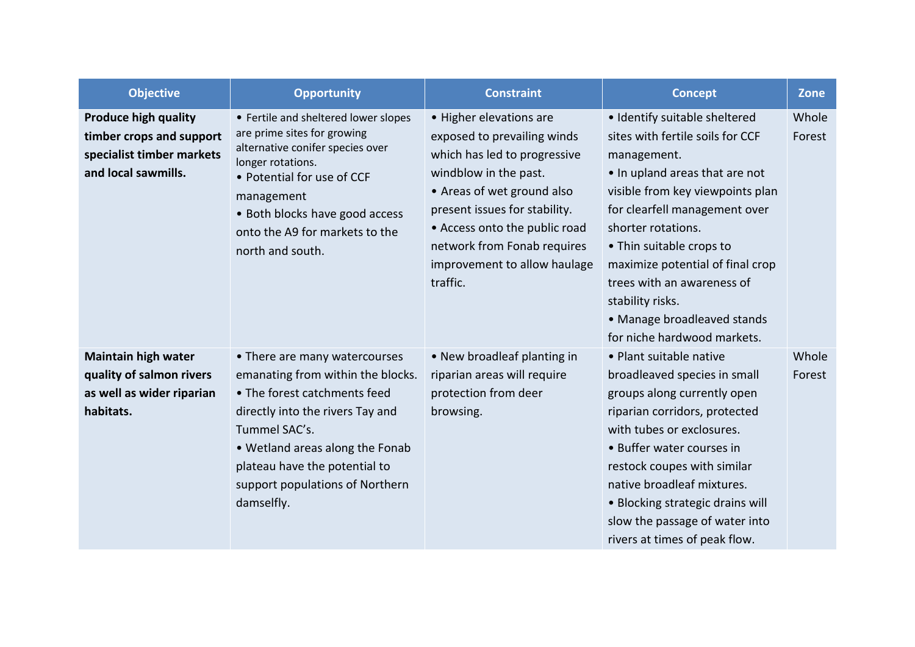| <b>Objective</b>                                                                                            | <b>Opportunity</b>                                                                                                                                                                                                                                                           | <b>Constraint</b>                                                                                                                                                                                                                                                                          | <b>Concept</b>                                                                                                                                                                                                                                                                                                                                                                                | <b>Zone</b>     |
|-------------------------------------------------------------------------------------------------------------|------------------------------------------------------------------------------------------------------------------------------------------------------------------------------------------------------------------------------------------------------------------------------|--------------------------------------------------------------------------------------------------------------------------------------------------------------------------------------------------------------------------------------------------------------------------------------------|-----------------------------------------------------------------------------------------------------------------------------------------------------------------------------------------------------------------------------------------------------------------------------------------------------------------------------------------------------------------------------------------------|-----------------|
| <b>Produce high quality</b><br>timber crops and support<br>specialist timber markets<br>and local sawmills. | • Fertile and sheltered lower slopes<br>are prime sites for growing<br>alternative conifer species over<br>longer rotations.<br>• Potential for use of CCF<br>management<br>• Both blocks have good access<br>onto the A9 for markets to the<br>north and south.             | • Higher elevations are<br>exposed to prevailing winds<br>which has led to progressive<br>windblow in the past.<br>• Areas of wet ground also<br>present issues for stability.<br>• Access onto the public road<br>network from Fonab requires<br>improvement to allow haulage<br>traffic. | · Identify suitable sheltered<br>sites with fertile soils for CCF<br>management.<br>• In upland areas that are not<br>visible from key viewpoints plan<br>for clearfell management over<br>shorter rotations.<br>• Thin suitable crops to<br>maximize potential of final crop<br>trees with an awareness of<br>stability risks.<br>• Manage broadleaved stands<br>for niche hardwood markets. | Whole<br>Forest |
| <b>Maintain high water</b><br>quality of salmon rivers<br>as well as wider riparian<br>habitats.            | • There are many watercourses<br>emanating from within the blocks.<br>• The forest catchments feed<br>directly into the rivers Tay and<br>Tummel SAC's.<br>• Wetland areas along the Fonab<br>plateau have the potential to<br>support populations of Northern<br>damselfly. | • New broadleaf planting in<br>riparian areas will require<br>protection from deer<br>browsing.                                                                                                                                                                                            | • Plant suitable native<br>broadleaved species in small<br>groups along currently open<br>riparian corridors, protected<br>with tubes or exclosures.<br>• Buffer water courses in<br>restock coupes with similar<br>native broadleaf mixtures.<br>• Blocking strategic drains will<br>slow the passage of water into<br>rivers at times of peak flow.                                         | Whole<br>Forest |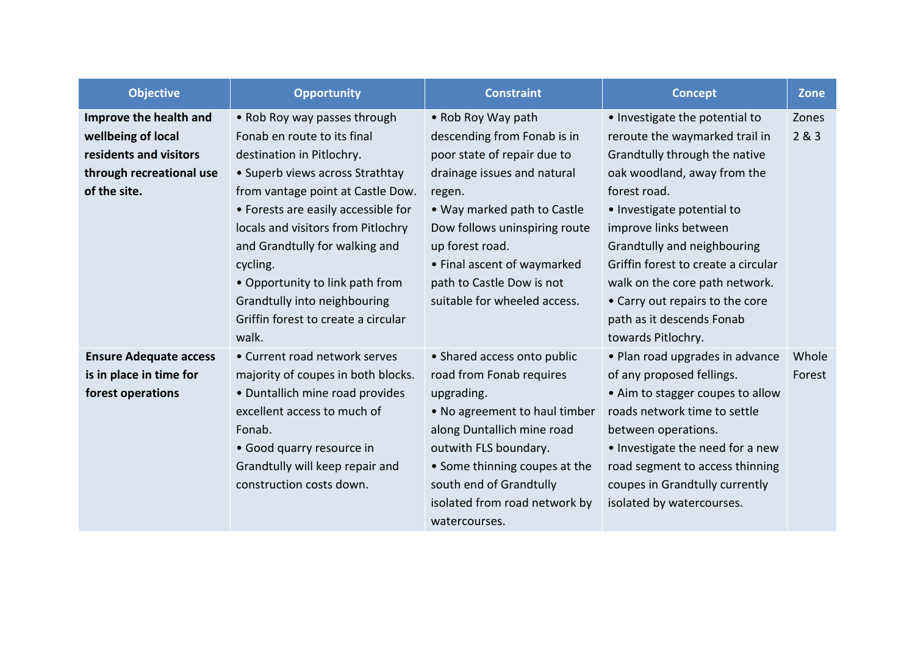| <b>Objective</b>              | <b>Opportunity</b>                  | <b>Constraint</b>             | <b>Concept</b>                      | <b>Zone</b> |
|-------------------------------|-------------------------------------|-------------------------------|-------------------------------------|-------------|
| Improve the health and        | • Rob Roy way passes through        | • Rob Roy Way path            | • Investigate the potential to      | Zones       |
| wellbeing of local            | Fonab en route to its final         | descending from Fonab is in   | reroute the waymarked trail in      | 2&8.3       |
| residents and visitors        | destination in Pitlochry.           | poor state of repair due to   | Grandtully through the native       |             |
| through recreational use      | • Superb views across Strathtay     | drainage issues and natural   | oak woodland, away from the         |             |
| of the site.                  | from vantage point at Castle Dow.   | regen.                        | forest road.                        |             |
|                               | • Forests are easily accessible for | • Way marked path to Castle   | • Investigate potential to          |             |
|                               | locals and visitors from Pitlochry  | Dow follows uninspiring route | improve links between               |             |
|                               | and Grandtully for walking and      | up forest road.               | Grandtully and neighbouring         |             |
|                               | cycling.                            | • Final ascent of waymarked   | Griffin forest to create a circular |             |
|                               | • Opportunity to link path from     | path to Castle Dow is not     | walk on the core path network.      |             |
|                               | Grandtully into neighbouring        | suitable for wheeled access.  | • Carry out repairs to the core     |             |
|                               | Griffin forest to create a circular |                               | path as it descends Fonab           |             |
|                               | walk.                               |                               | towards Pitlochry.                  |             |
| <b>Ensure Adequate access</b> | • Current road network serves       | • Shared access onto public   | • Plan road upgrades in advance     | Whole       |
| is in place in time for       | majority of coupes in both blocks.  | road from Fonab requires      | of any proposed fellings.           | Forest      |
| forest operations             | • Duntallich mine road provides     | upgrading.                    | • Aim to stagger coupes to allow    |             |
|                               | excellent access to much of         | • No agreement to haul timber | roads network time to settle        |             |
|                               | Fonab.                              | along Duntallich mine road    | between operations.                 |             |
|                               | • Good quarry resource in           | outwith FLS boundary.         | • Investigate the need for a new    |             |
|                               | Grandtully will keep repair and     | • Some thinning coupes at the | road segment to access thinning     |             |
|                               | construction costs down.            | south end of Grandtully       | coupes in Grandtully currently      |             |
|                               |                                     | isolated from road network by | isolated by watercourses.           |             |
|                               |                                     | watercourses.                 |                                     |             |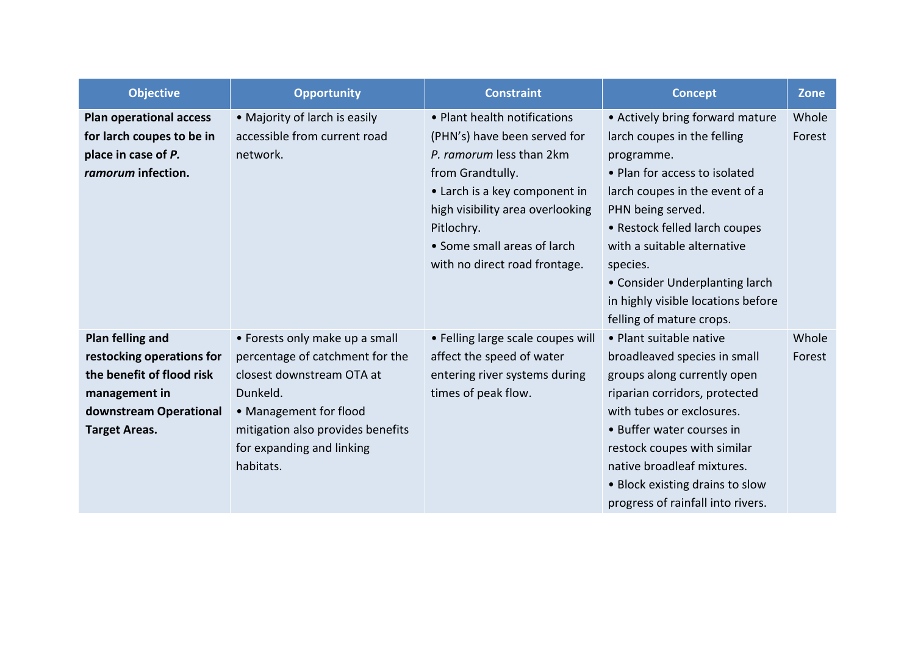| <b>Objective</b>               | <b>Opportunity</b>                | <b>Constraint</b>                 | <b>Concept</b>                     | <b>Zone</b> |
|--------------------------------|-----------------------------------|-----------------------------------|------------------------------------|-------------|
| <b>Plan operational access</b> | • Majority of larch is easily     | • Plant health notifications      | • Actively bring forward mature    | Whole       |
| for larch coupes to be in      | accessible from current road      | (PHN's) have been served for      | larch coupes in the felling        | Forest      |
| place in case of P.            | network.                          | P. ramorum less than 2km          | programme.                         |             |
| ramorum infection.             |                                   | from Grandtully.                  | • Plan for access to isolated      |             |
|                                |                                   | • Larch is a key component in     | larch coupes in the event of a     |             |
|                                |                                   | high visibility area overlooking  | PHN being served.                  |             |
|                                |                                   | Pitlochry.                        | • Restock felled larch coupes      |             |
|                                |                                   | • Some small areas of larch       | with a suitable alternative        |             |
|                                |                                   | with no direct road frontage.     | species.                           |             |
|                                |                                   |                                   | • Consider Underplanting larch     |             |
|                                |                                   |                                   | in highly visible locations before |             |
|                                |                                   |                                   | felling of mature crops.           |             |
| Plan felling and               | • Forests only make up a small    | • Felling large scale coupes will | • Plant suitable native            | Whole       |
| restocking operations for      | percentage of catchment for the   | affect the speed of water         | broadleaved species in small       | Forest      |
| the benefit of flood risk      | closest downstream OTA at         | entering river systems during     | groups along currently open        |             |
| management in                  | Dunkeld.                          | times of peak flow.               | riparian corridors, protected      |             |
| downstream Operational         | • Management for flood            |                                   | with tubes or exclosures.          |             |
| <b>Target Areas.</b>           | mitigation also provides benefits |                                   | • Buffer water courses in          |             |
|                                | for expanding and linking         |                                   | restock coupes with similar        |             |
|                                | habitats.                         |                                   | native broadleaf mixtures.         |             |
|                                |                                   |                                   | • Block existing drains to slow    |             |
|                                |                                   |                                   | progress of rainfall into rivers.  |             |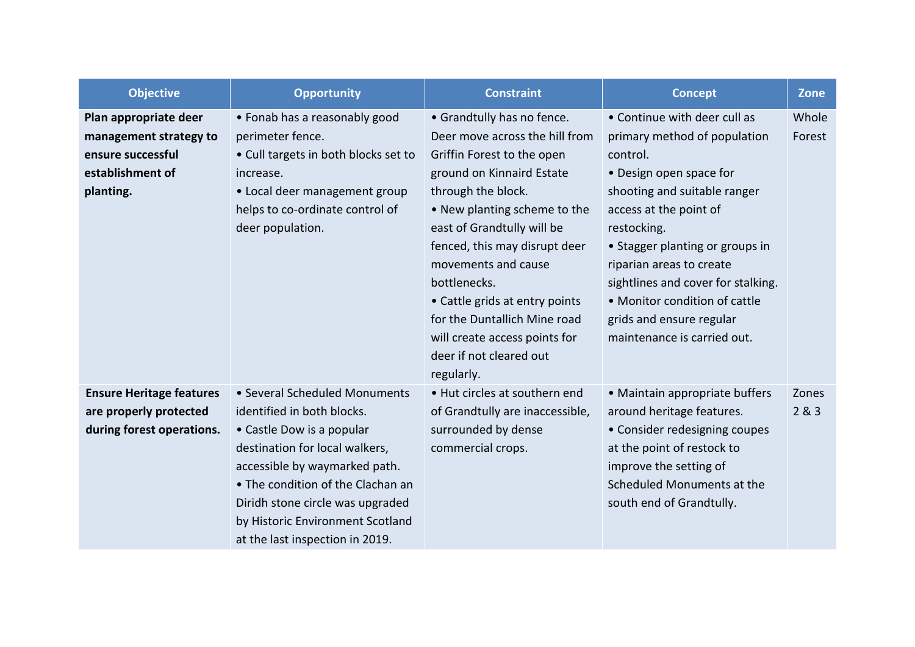| <b>Objective</b>                                                                                      | <b>Opportunity</b>                                                                                                                                                                                                                                                                                          | <b>Constraint</b>                                                                                                                                                                                                                                                                                                                                                                                                               | <b>Concept</b>                                                                                                                                                                                                                                                                                                                                                                | <b>Zone</b>     |
|-------------------------------------------------------------------------------------------------------|-------------------------------------------------------------------------------------------------------------------------------------------------------------------------------------------------------------------------------------------------------------------------------------------------------------|---------------------------------------------------------------------------------------------------------------------------------------------------------------------------------------------------------------------------------------------------------------------------------------------------------------------------------------------------------------------------------------------------------------------------------|-------------------------------------------------------------------------------------------------------------------------------------------------------------------------------------------------------------------------------------------------------------------------------------------------------------------------------------------------------------------------------|-----------------|
| Plan appropriate deer<br>management strategy to<br>ensure successful<br>establishment of<br>planting. | • Fonab has a reasonably good<br>perimeter fence.<br>• Cull targets in both blocks set to<br>increase.<br>• Local deer management group<br>helps to co-ordinate control of<br>deer population.                                                                                                              | • Grandtully has no fence.<br>Deer move across the hill from<br>Griffin Forest to the open<br>ground on Kinnaird Estate<br>through the block.<br>. New planting scheme to the<br>east of Grandtully will be<br>fenced, this may disrupt deer<br>movements and cause<br>bottlenecks.<br>• Cattle grids at entry points<br>for the Duntallich Mine road<br>will create access points for<br>deer if not cleared out<br>regularly. | • Continue with deer cull as<br>primary method of population<br>control.<br>• Design open space for<br>shooting and suitable ranger<br>access at the point of<br>restocking.<br>• Stagger planting or groups in<br>riparian areas to create<br>sightlines and cover for stalking.<br>• Monitor condition of cattle<br>grids and ensure regular<br>maintenance is carried out. | Whole<br>Forest |
| <b>Ensure Heritage features</b><br>are properly protected<br>during forest operations.                | • Several Scheduled Monuments<br>identified in both blocks.<br>• Castle Dow is a popular<br>destination for local walkers,<br>accessible by waymarked path.<br>• The condition of the Clachan an<br>Diridh stone circle was upgraded<br>by Historic Environment Scotland<br>at the last inspection in 2019. | • Hut circles at southern end<br>of Grandtully are inaccessible,<br>surrounded by dense<br>commercial crops.                                                                                                                                                                                                                                                                                                                    | • Maintain appropriate buffers<br>around heritage features.<br>• Consider redesigning coupes<br>at the point of restock to<br>improve the setting of<br>Scheduled Monuments at the<br>south end of Grandtully.                                                                                                                                                                | Zones<br>2&3    |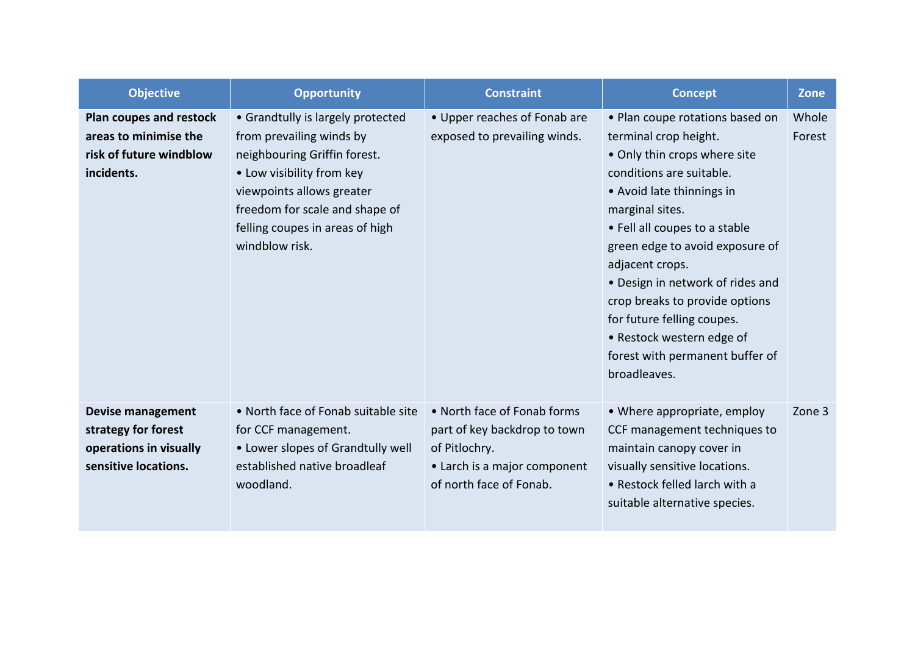| <b>Objective</b>                                                                                  | <b>Opportunity</b>                                                                                                                                                                                                                             | <b>Constraint</b>                                                                                                                       | <b>Concept</b>                                                                                                                                                                                                                                                                                                                                                                                                                                  | <b>Zone</b>     |
|---------------------------------------------------------------------------------------------------|------------------------------------------------------------------------------------------------------------------------------------------------------------------------------------------------------------------------------------------------|-----------------------------------------------------------------------------------------------------------------------------------------|-------------------------------------------------------------------------------------------------------------------------------------------------------------------------------------------------------------------------------------------------------------------------------------------------------------------------------------------------------------------------------------------------------------------------------------------------|-----------------|
| Plan coupes and restock<br>areas to minimise the<br>risk of future windblow<br>incidents.         | • Grandtully is largely protected<br>from prevailing winds by<br>neighbouring Griffin forest.<br>• Low visibility from key<br>viewpoints allows greater<br>freedom for scale and shape of<br>felling coupes in areas of high<br>windblow risk. | • Upper reaches of Fonab are<br>exposed to prevailing winds.                                                                            | • Plan coupe rotations based on<br>terminal crop height.<br>• Only thin crops where site<br>conditions are suitable.<br>• Avoid late thinnings in<br>marginal sites.<br>• Fell all coupes to a stable<br>green edge to avoid exposure of<br>adjacent crops.<br>• Design in network of rides and<br>crop breaks to provide options<br>for future felling coupes.<br>• Restock western edge of<br>forest with permanent buffer of<br>broadleaves. | Whole<br>Forest |
| <b>Devise management</b><br>strategy for forest<br>operations in visually<br>sensitive locations. | • North face of Fonab suitable site<br>for CCF management.<br>• Lower slopes of Grandtully well<br>established native broadleaf<br>woodland.                                                                                                   | • North face of Fonab forms<br>part of key backdrop to town<br>of Pitlochry.<br>• Larch is a major component<br>of north face of Fonab. | • Where appropriate, employ<br>CCF management techniques to<br>maintain canopy cover in<br>visually sensitive locations.<br>• Restock felled larch with a<br>suitable alternative species.                                                                                                                                                                                                                                                      | Zone 3          |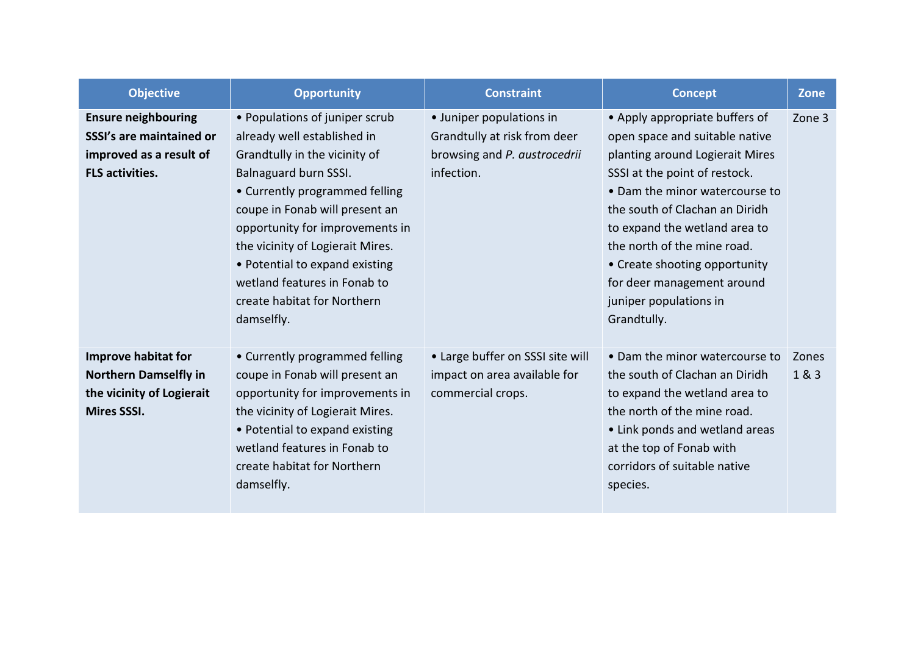| <b>Objective</b>             | <b>Opportunity</b>               | <b>Constraint</b>                | <b>Concept</b>                  | <b>Zone</b> |
|------------------------------|----------------------------------|----------------------------------|---------------------------------|-------------|
| <b>Ensure neighbouring</b>   | • Populations of juniper scrub   | • Juniper populations in         | • Apply appropriate buffers of  | Zone 3      |
| SSSI's are maintained or     | already well established in      | Grandtully at risk from deer     | open space and suitable native  |             |
| improved as a result of      | Grandtully in the vicinity of    | browsing and P. austrocedrii     | planting around Logierait Mires |             |
| <b>FLS activities.</b>       | Balnaguard burn SSSI.            | infection.                       | SSSI at the point of restock.   |             |
|                              | • Currently programmed felling   |                                  | • Dam the minor watercourse to  |             |
|                              | coupe in Fonab will present an   |                                  | the south of Clachan an Diridh  |             |
|                              | opportunity for improvements in  |                                  | to expand the wetland area to   |             |
|                              | the vicinity of Logierait Mires. |                                  | the north of the mine road.     |             |
|                              | • Potential to expand existing   |                                  | • Create shooting opportunity   |             |
|                              | wetland features in Fonab to     |                                  | for deer management around      |             |
|                              | create habitat for Northern      |                                  | juniper populations in          |             |
|                              | damselfly.                       |                                  | Grandtully.                     |             |
|                              |                                  |                                  |                                 |             |
| <b>Improve habitat for</b>   | • Currently programmed felling   | • Large buffer on SSSI site will | • Dam the minor watercourse to  | Zones       |
| <b>Northern Damselfly in</b> | coupe in Fonab will present an   | impact on area available for     | the south of Clachan an Diridh  | 1 & 3       |
| the vicinity of Logierait    | opportunity for improvements in  | commercial crops.                | to expand the wetland area to   |             |
| <b>Mires SSSI.</b>           | the vicinity of Logierait Mires. |                                  | the north of the mine road.     |             |
|                              | • Potential to expand existing   |                                  | • Link ponds and wetland areas  |             |
|                              | wetland features in Fonab to     |                                  | at the top of Fonab with        |             |
|                              | create habitat for Northern      |                                  | corridors of suitable native    |             |
|                              | damselfly.                       |                                  | species.                        |             |
|                              |                                  |                                  |                                 |             |